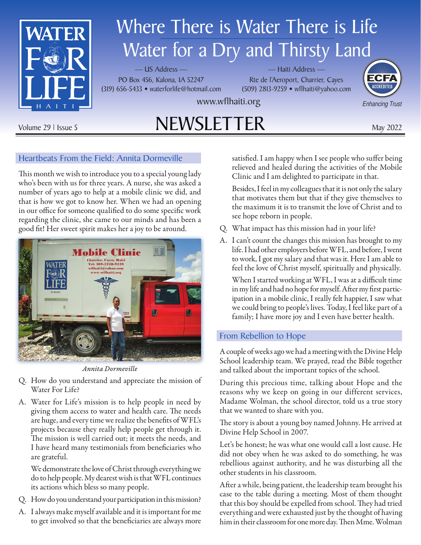

# Where There is Water There is Life Water for a Dry and Thirsty Land

— US Address — PO Box 456, Kalona, IA 52247 (319) 656-5433 • waterforlife@hotmail.com

— Haiti Address — Rte de l'Aeroport, Charrier, Cayes (509) 2813-9259 • wflhaiti@yahoo.com



Enhancing Trust

www.wflhaiti.org

# Volume 29 | Issue 5  $NEWSLETTER$  May 2022

## Heartbeats From the Field: Annita Dormeville

This month we wish to introduce you to a special young lady who's been with us for three years. A nurse, she was asked a number of years ago to help at a mobile clinic we did, and that is how we got to know her. When we had an opening in our office for someone qualified to do some specific work regarding the clinic, she came to our minds and has been a good fit! Her sweet spirit makes her a joy to be around.



*Annita Dormeville*

- Q. How do you understand and appreciate the mission of Water For Life?
- A. Water for Life's mission is to help people in need by giving them access to water and health care. The needs are huge, and every time we realize the benefits of WFL's projects because they really help people get through it. The mission is well carried out; it meets the needs, and I have heard many testimonials from beneficiaries who are grateful.

We demonstrate the love of Christ through everything we do to help people. My dearest wish is that WFL continues its actions which bless so many people.

- Q. How do you understand your participation in this mission?
- A. I always make myself available and it is important for me to get involved so that the beneficiaries are always more

satisfied. I am happy when I see people who suffer being relieved and healed during the activities of the Mobile Clinic and I am delighted to participate in that.

Besides, I feel in my colleagues that it is not only the salary that motivates them but that if they give themselves to the maximum it is to transmit the love of Christ and to see hope reborn in people.

- Q. What impact has this mission had in your life?
- A. I can't count the changes this mission has brought to my life. I had other employers before WFL, and before, I went to work, I got my salary and that was it. Here I am able to feel the love of Christ myself, spiritually and physically.

When I started working at WFL, I was at a difficult time in my life and had no hope for myself. After my first participation in a mobile clinic, I really felt happier, I saw what we could bring to people's lives. Today, I feel like part of a family; I have more joy and I even have better health.

### From Rebellion to Hope

A couple of weeks ago we had a meeting with the Divine Help School leadership team. We prayed, read the Bible together and talked about the important topics of the school.

During this precious time, talking about Hope and the reasons why we keep on going in our different services, Madame Wolman, the school director, told us a true story that we wanted to share with you.

The story is about a young boy named Johnny. He arrived at Divine Help School in 2007.

Let's be honest; he was what one would call a lost cause. He did not obey when he was asked to do something, he was rebellious against authority, and he was disturbing all the other students in his classroom.

After a while, being patient, the leadership team brought his case to the table during a meeting. Most of them thought that this boy should be expelled from school. They had tried everything and were exhausted just by the thought of having him in their classroom for one more day. Then Mme. Wolman